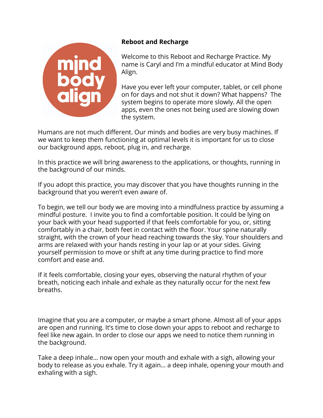

## **Reboot and Recharge**

Welcome to this Reboot and Recharge Practice. My name is Caryl and I'm a mindful educator at Mind Body Align.

Have you ever left your computer, tablet, or cell phone on for days and not shut it down? What happens? The system begins to operate more slowly. All the open apps, even the ones not being used are slowing down the system.

Humans are not much different. Our minds and bodies are very busy machines. If we want to keep them functioning at optimal levels it is important for us to close our background apps, reboot, plug in, and recharge.

In this practice we will bring awareness to the applications, or thoughts, running in the background of our minds.

If you adopt this practice, you may discover that you have thoughts running in the background that you weren't even aware of.

To begin, we tell our body we are moving into a mindfulness practice by assuming a mindful posture. I invite you to find a comfortable position. It could be lying on your back with your head supported if that feels comfortable for you, or, sitting comfortably in a chair, both feet in contact with the floor. Your spine naturally straight, with the crown of your head reaching towards the sky. Your shoulders and arms are relaxed with your hands resting in your lap or at your sides. Giving yourself permission to move or shift at any time during practice to find more comfort and ease and.

If it feels comfortable, closing your eyes, observing the natural rhythm of your breath, noticing each inhale and exhale as they naturally occur for the next few breaths.

Imagine that you are a computer, or maybe a smart phone. Almost all of your apps are open and running. It's time to close down your apps to reboot and recharge to feel like new again. In order to close our apps we need to notice them running in the background.

Take a deep inhale… now open your mouth and exhale with a sigh, allowing your body to release as you exhale. Try it again… a deep inhale, opening your mouth and exhaling with a sigh.